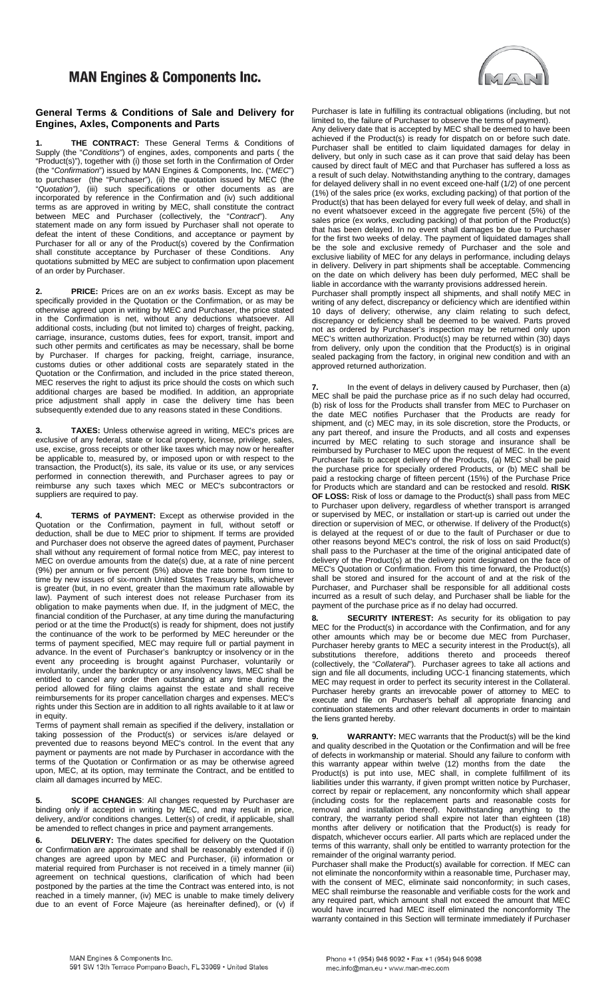## **MAN Engines & Components Inc.**

## **General Terms & Conditions of Sale and Delivery for Engines, Axles, Components and Parts**

**1. THE CONTRACT:** These General Terms & Conditions of Supply (the "*Conditions*") of engines, axles, components and parts ( the "Product(s)"), together with (i) those set forth in the Confirmation of Order (the "*Confirmation*") issued by MAN Engines & Components, Inc. ("*MEC*") to purchaser (the "Purchaser"), (ii) the quotation issued by MEC (the "*Quotation")*, (iii) such specifications or other documents as are incorporated by reference in the Confirmation and (iv) such additional terms as are approved in writing by MEC, shall constitute the contract between MEC and Purchaser (collectively, the "*Contract*"). Any statement made on any form issued by Purchaser shall not operate to defeat the intent of these Conditions, and acceptance or payment by Purchaser for all or any of the Product(s) covered by the Confirmation shall constitute acceptance by Purchaser of these Conditions. Any quotations submitted by MEC are subject to confirmation upon placement of an order by Purchaser.

**2. PRICE:** Prices are on an *ex works* basis. Except as may be specifically provided in the Quotation or the Confirmation, or as may be otherwise agreed upon in writing by MEC and Purchaser, the price stated in the Confirmation is net, without any deductions whatsoever. All additional costs, including (but not limited to) charges of freight, packing, carriage, insurance, customs duties, fees for export, transit, import and such other permits and certificates as may be necessary, shall be borne by Purchaser. If charges for packing, freight, carriage, insurance, customs duties or other additional costs are separately stated in the Quotation or the Confirmation, and included in the price stated thereon, MEC reserves the right to adjust its price should the costs on which such additional charges are based be modified. In addition, an appropriate price adjustment shall apply in case the delivery time has been subsequently extended due to any reasons stated in these Conditions.

**3. TAXES:** Unless otherwise agreed in writing, MEC's prices are exclusive of any federal, state or local property, license, privilege, sales, use, excise, gross receipts or other like taxes which may now or hereafter be applicable to, measured by, or imposed upon or with respect to the transaction, the Product(s), its sale, its value or its use, or any services performed in connection therewith, and Purchaser agrees to pay or reimburse any such taxes which MEC or MEC's subcontractors or suppliers are required to pay.

**4. TERMS of PAYMENT:** Except as otherwise provided in the Quotation or the Confirmation, payment in full, without setoff or deduction, shall be due to MEC prior to shipment. If terms are provided and Purchaser does not observe the agreed dates of payment, Purchaser shall without any requirement of formal notice from MEC, pay interest to MEC on overdue amounts from the date(s) due, at a rate of nine percent (9%) per annum or five percent (5%) above the rate borne from time to time by new issues of six-month United States Treasury bills, whichever is greater (but, in no event, greater than the maximum rate allowable by law). Payment of such interest does not release Purchaser from its obligation to make payments when due. If, in the judgment of MEC, the financial condition of the Purchaser, at any time during the manufacturing period or at the time the Product(s) is ready for shipment, does not justify the continuance of the work to be performed by MEC hereunder or the terms of payment specified, MEC may require full or partial payment in advance. In the event of Purchaser's bankruptcy or insolvency or in the event any proceeding is brought against Purchaser, voluntarily or involuntarily, under the bankruptcy or any insolvency laws, MEC shall be entitled to cancel any order then outstanding at any time during the period allowed for filing claims against the estate and shall receive reimbursements for its proper cancellation charges and expenses. MEC's rights under this Section are in addition to all rights available to it at law or in equity.

Terms of payment shall remain as specified if the delivery, installation or taking possession of the Product(s) or services is/are delayed or prevented due to reasons beyond MEC's control. In the event that any payment or payments are not made by Purchaser in accordance with the terms of the Quotation or Confirmation or as may be otherwise agreed upon, MEC, at its option, may terminate the Contract, and be entitled to claim all damages incurred by MEC.

**5. SCOPE CHANGES**: All changes requested by Purchaser are binding only if accepted in writing by MEC, and may result in price, delivery, and/or conditions changes. Letter(s) of credit, if applicable, shall be amended to reflect changes in price and payment arrangements.

**6. DELIVERY:** The dates specified for delivery on the Quotation or Confirmation are approximate and shall be reasonably extended if (i) changes are agreed upon by MEC and Purchaser, (ii) information or material required from Purchaser is not received in a timely manner (iii) agreement on technical questions, clarification of which had been postponed by the parties at the time the Contract was entered into, is not reached in a timely manner, (iv) MEC is unable to make timely delivery due to an event of Force Majeure (as hereinafter defined), or (v) if



Purchaser is late in fulfilling its contractual obligations (including, but not limited to, the failure of Purchaser to observe the terms of payment). Any delivery date that is accepted by MEC shall be deemed to have been achieved if the Product(s) is ready for dispatch on or before such date. Purchaser shall be entitled to claim liquidated damages for delay in delivery, but only in such case as it can prove that said delay has been caused by direct fault of MEC and that Purchaser has suffered a loss as a result of such delay. Notwithstanding anything to the contrary, damages for delayed delivery shall in no event exceed one-half (1/2) of one percent (1%) of the sales price (ex works, excluding packing) of that portion of the Product(s) that has been delayed for every full week of delay, and shall in no event whatsoever exceed in the aggregate five percent (5%) of the sales price (ex works, excluding packing) of that portion of the Product(s) that has been delayed. In no event shall damages be due to Purchaser for the first two weeks of delay. The payment of liquidated damages shall be the sole and exclusive remedy of Purchaser and the sole and exclusive liability of MEC for any delays in performance, including delays in delivery. Delivery in part shipments shall be acceptable. Commencing on the date on which delivery has been duly performed, MEC shall be liable in accordance with the warranty provisions addressed herein.

Purchaser shall promptly inspect all shipments, and shall notify MEC in writing of any defect, discrepancy or deficiency which are identified within 10 days of delivery; otherwise, any claim relating to such defect, discrepancy or deficiency shall be deemed to be waived. Parts proved not as ordered by Purchaser's inspection may be returned only upon MEC's written authorization. Product(s) may be returned within (30) days from delivery, only upon the condition that the Product(s) is in original sealed packaging from the factory, in original new condition and with an approved returned authorization.

**7.** In the event of delays in delivery caused by Purchaser, then (a) MEC shall be paid the purchase price as if no such delay had occurred, (b) risk of loss for the Products shall transfer from MEC to Purchaser on the date MEC notifies Purchaser that the Products are ready for shipment, and (c) MEC may, in its sole discretion, store the Products, or any part thereof, and insure the Products, and all costs and expenses incurred by MEC relating to such storage and insurance shall be reimbursed by Purchaser to MEC upon the request of MEC. In the event Purchaser fails to accept delivery of the Products, (a) MEC shall be paid the purchase price for specially ordered Products, or (b) MEC shall be paid a restocking charge of fifteen percent (15%) of the Purchase Price for Products which are standard and can be restocked and resold. **RISK OF LOSS:** Risk of loss or damage to the Product(s) shall pass from MEC to Purchaser upon delivery, regardless of whether transport is arranged or supervised by MEC, or installation or start-up is carried out under the direction or supervision of MEC, or otherwise. If delivery of the Product(s) is delayed at the request of or due to the fault of Purchaser or due to other reasons beyond MEC's control, the risk of loss on said Product(s) shall pass to the Purchaser at the time of the original anticipated date of delivery of the Product(s) at the delivery point designated on the face of MEC's Quotation or Confirmation. From this time forward, the Product(s) shall be stored and insured for the account of and at the risk of the Purchaser, and Purchaser shall be responsible for all additional costs incurred as a result of such delay, and Purchaser shall be liable for the payment of the purchase price as if no delay had occurred.

**8. SECURITY INTEREST:** As security for its obligation to pay MEC for the Product(s) in accordance with the Confirmation, and for any other amounts which may be or become due MEC from Purchaser, Purchaser hereby grants to MEC a security interest in the Product(s), all substitutions therefore, additions thereto and proceeds thereof (collectively, the "*Collateral*"). Purchaser agrees to take all actions and sign and file all documents, including UCC-1 financing statements, which MEC may request in order to perfect its security interest in the Collateral. Purchaser hereby grants an irrevocable power of attorney to MEC to execute and file on Purchaser's behalf all appropriate financing and continuation statements and other relevant documents in order to maintain the liens granted hereby.

**9. WARRANTY:** MEC warrants that the Product(s) will be the kind and quality described in the Quotation or the Confirmation and will be free of defects in workmanship or material. Should any failure to conform with this warranty appear within twelve (12) months from the date the Product(s) is put into use, MEC shall, in complete fulfillment of its liabilities under this warranty, if given prompt written notice by Purchaser, correct by repair or replacement, any nonconformity which shall appear (including costs for the replacement parts and reasonable costs for removal and installation thereof). Notwithstanding anything to the contrary, the warranty period shall expire not later than eighteen (18) months after delivery or notification that the Product(s) is ready for dispatch, whichever occurs earlier. All parts which are replaced under the terms of this warranty, shall only be entitled to warranty protection for the remainder of the original warranty period.

Purchaser shall make the Product(s) available for correction. If MEC can not eliminate the nonconformity within a reasonable time, Purchaser may, with the consent of MEC, eliminate said nonconformity; in such cases, MEC shall reimburse the reasonable and verifiable costs for the work and any required part, which amount shall not exceed the amount that MEC would have incurred had MEC itself eliminated the nonconformity The warranty contained in this Section will terminate immediately if Purchaser